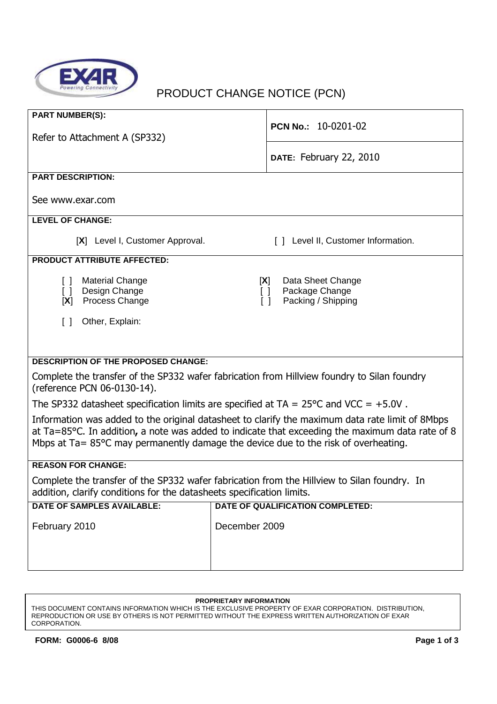

# PRODUCT CHANGE NOTICE (PCN)

| <b>PART NUMBER(S):</b>                                                                                                                                                                                                                                                                   |                                                                                      |  |
|------------------------------------------------------------------------------------------------------------------------------------------------------------------------------------------------------------------------------------------------------------------------------------------|--------------------------------------------------------------------------------------|--|
| Refer to Attachment A (SP332)                                                                                                                                                                                                                                                            | PCN No.: 10-0201-02                                                                  |  |
|                                                                                                                                                                                                                                                                                          | DATE: February 22, 2010                                                              |  |
| <b>PART DESCRIPTION:</b>                                                                                                                                                                                                                                                                 |                                                                                      |  |
| See www.exar.com                                                                                                                                                                                                                                                                         |                                                                                      |  |
| <b>LEVEL OF CHANGE:</b>                                                                                                                                                                                                                                                                  |                                                                                      |  |
| [X] Level I, Customer Approval.                                                                                                                                                                                                                                                          | [] Level II, Customer Information.                                                   |  |
| <b>PRODUCT ATTRIBUTE AFFECTED:</b>                                                                                                                                                                                                                                                       |                                                                                      |  |
| <b>Material Change</b><br>$\Box$<br>Design Change<br>$\Box$<br>Process Change<br>[X]                                                                                                                                                                                                     | Data Sheet Change<br>[X]<br>Package Change<br>$\Box$<br>Packing / Shipping<br>$\Box$ |  |
| Other, Explain:<br>$\lceil$ 1                                                                                                                                                                                                                                                            |                                                                                      |  |
|                                                                                                                                                                                                                                                                                          |                                                                                      |  |
|                                                                                                                                                                                                                                                                                          |                                                                                      |  |
| <b>DESCRIPTION OF THE PROPOSED CHANGE:</b>                                                                                                                                                                                                                                               |                                                                                      |  |
| Complete the transfer of the SP332 wafer fabrication from Hillview foundry to Silan foundry                                                                                                                                                                                              |                                                                                      |  |
| (reference PCN 06-0130-14).<br>The SP332 datasheet specification limits are specified at $TA = 25^{\circ}C$ and VCC = +5.0V.                                                                                                                                                             |                                                                                      |  |
|                                                                                                                                                                                                                                                                                          |                                                                                      |  |
| Information was added to the original datasheet to clarify the maximum data rate limit of 8Mbps<br>at Ta=85°C. In addition, a note was added to indicate that exceeding the maximum data rate of 8<br>Mbps at Ta= 85°C may permanently damage the device due to the risk of overheating. |                                                                                      |  |
| <b>REASON FOR CHANGE:</b>                                                                                                                                                                                                                                                                |                                                                                      |  |
| Complete the transfer of the SP332 wafer fabrication from the Hillview to Silan foundry. In<br>addition, clarify conditions for the datasheets specification limits.                                                                                                                     |                                                                                      |  |
| <b>DATE OF SAMPLES AVAILABLE:</b>                                                                                                                                                                                                                                                        | DATE OF QUALIFICATION COMPLETED:                                                     |  |
| February 2010                                                                                                                                                                                                                                                                            | December 2009                                                                        |  |
|                                                                                                                                                                                                                                                                                          |                                                                                      |  |
|                                                                                                                                                                                                                                                                                          |                                                                                      |  |

#### **PROPRIETARY INFORMATION**

THIS DOCUMENT CONTAINS INFORMATION WHICH IS THE EXCLUSIVE PROPERTY OF EXAR CORPORATION. DISTRIBUTION, REPRODUCTION OR USE BY OTHERS IS NOT PERMITTED WITHOUT THE EXPRESS WRITTEN AUTHORIZATION OF EXAR CORPORATION.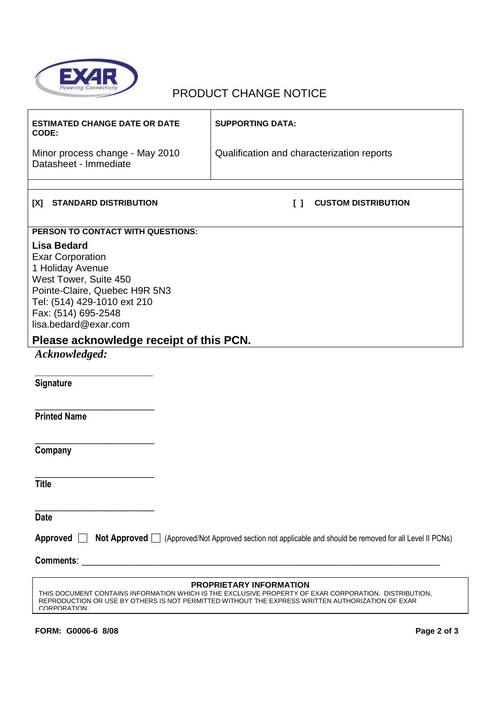

## PRODUCT CHANGE NOTICE

| <b>ESTIMATED CHANGE DATE OR DATE</b><br>CODE:                                                                                                                                                                                   | <b>SUPPORTING DATA:</b>                    |  |
|---------------------------------------------------------------------------------------------------------------------------------------------------------------------------------------------------------------------------------|--------------------------------------------|--|
| Minor process change - May 2010<br>Datasheet - Immediate                                                                                                                                                                        | Qualification and characterization reports |  |
|                                                                                                                                                                                                                                 |                                            |  |
| <b>STANDARD DISTRIBUTION</b><br>[X]                                                                                                                                                                                             | <b>CUSTOM DISTRIBUTION</b><br>I I          |  |
| PERSON TO CONTACT WITH QUESTIONS:                                                                                                                                                                                               |                                            |  |
| <b>Lisa Bedard</b><br><b>Exar Corporation</b><br>1 Holiday Avenue<br>West Tower, Suite 450<br>Pointe-Claire, Quebec H9R 5N3<br>Tel: (514) 429-1010 ext 210<br>Fax: (514) 695-2548<br>lisa.bedard@exar.com                       |                                            |  |
| Please acknowledge receipt of this PCN.                                                                                                                                                                                         |                                            |  |
| Acknowledged:                                                                                                                                                                                                                   |                                            |  |
| Signature                                                                                                                                                                                                                       |                                            |  |
| <b>Printed Name</b>                                                                                                                                                                                                             |                                            |  |
| Company                                                                                                                                                                                                                         |                                            |  |
| <b>Title</b>                                                                                                                                                                                                                    |                                            |  |
| <b>Date</b>                                                                                                                                                                                                                     |                                            |  |
| Approved <b>Not Approved</b> (Approved/Not Approved section not applicable and should be removed for all Level II PCNs)                                                                                                         |                                            |  |
|                                                                                                                                                                                                                                 |                                            |  |
| PROPRIETARY INFORMATION                                                                                                                                                                                                         |                                            |  |
| THIS DOCUMENT CONTAINS INFORMATION WHICH IS THE EXCLUSIVE PROPERTY OF EXAR CORPORATION. DISTRIBUTION,<br>REPRODUCTION OR USE BY OTHERS IS NOT PERMITTED WITHOUT THE EXPRESS WRITTEN AUTHORIZATION OF EXAR<br><b>CORPORATION</b> |                                            |  |